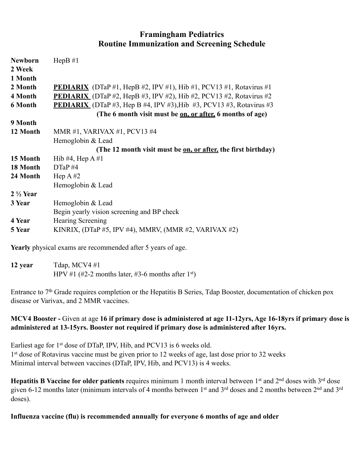# **Framingham Pediatrics Routine Immunization and Screening Schedule**

| <b>Newborn</b>      | HepB $#1$                                                                   |
|---------------------|-----------------------------------------------------------------------------|
| 2 Week              |                                                                             |
| 1 Month             |                                                                             |
| 2 Month             | <b>PEDIARIX</b> (DTaP #1, HepB #2, IPV #1), Hib #1, PCV13 #1, Rotavirus #1  |
| 4 Month             | <b>PEDIARIX</b> (DTaP #2, HepB #3, IPV #2), Hib #2, PCV13 #2, Rotavirus #2  |
| <b>6 Month</b>      | <b>PEDIARIX</b> (DTaP #3, Hep B #4, IPV #3), Hib #3, PCV13 #3, Rotavirus #3 |
|                     | (The 6 month visit must be on, or after, 6 months of age)                   |
| 9 Month             |                                                                             |
| 12 Month            | MMR #1, VARIVAX #1, PCV13 #4                                                |
|                     | Hemoglobin & Lead                                                           |
|                     | (The 12 month visit must be <u>on, or after</u> , the first birthday)       |
| 15 Month            | Hib #4, Hep $A \#1$                                                         |
| 18 Month            | $DTaP \#4$                                                                  |
| 24 Month            | Hep $A \#2$                                                                 |
|                     | Hemoglobin & Lead                                                           |
| $2\frac{1}{2}$ Year |                                                                             |
| 3 Year              | Hemoglobin & Lead                                                           |
|                     | Begin yearly vision screening and BP check                                  |
| 4 Year              | <b>Hearing Screening</b>                                                    |
| 5 Year              | KINRIX, (DTaP #5, IPV #4), MMRV, (MMR #2, VARIVAX #2)                       |

**Yearly** physical exams are recommended after 5 years of age.

**12 year** Tdap, MCV4 #1 HPV #1 (#2-2 months later, #3-6 months after 1<sup>st</sup>)

Entrance to 7<sup>th</sup> Grade requires completion or the Hepatitis B Series, Tdap Booster, documentation of chicken pox disease or Varivax, and 2 MMR vaccines.

## **MCV4 Booster -** Given at age **16 if primary dose is administered at age 11-12yrs, Age 16-18yrs if primary dose is administered at 13-15yrs. Booster not required if primary dose is administered after 16yrs.**

Earliest age for 1<sup>st</sup> dose of DTaP, IPV, Hib, and PCV13 is 6 weeks old. 1<sup>st</sup> dose of Rotavirus vaccine must be given prior to 12 weeks of age, last dose prior to 32 weeks Minimal interval between vaccines (DTaP, IPV, Hib, and PCV13) is 4 weeks.

**Hepatitis B Vaccine for older patients** requires minimum 1 month interval between 1<sup>st</sup> and 2<sup>nd</sup> doses with 3<sup>rd</sup> dose given 6-12 months later (minimum intervals of 4 months between 1st and 3rd doses and 2 months between 2nd and 3rd doses).

## **Influenza vaccine (flu) is recommended annually for everyone 6 months of age and older**